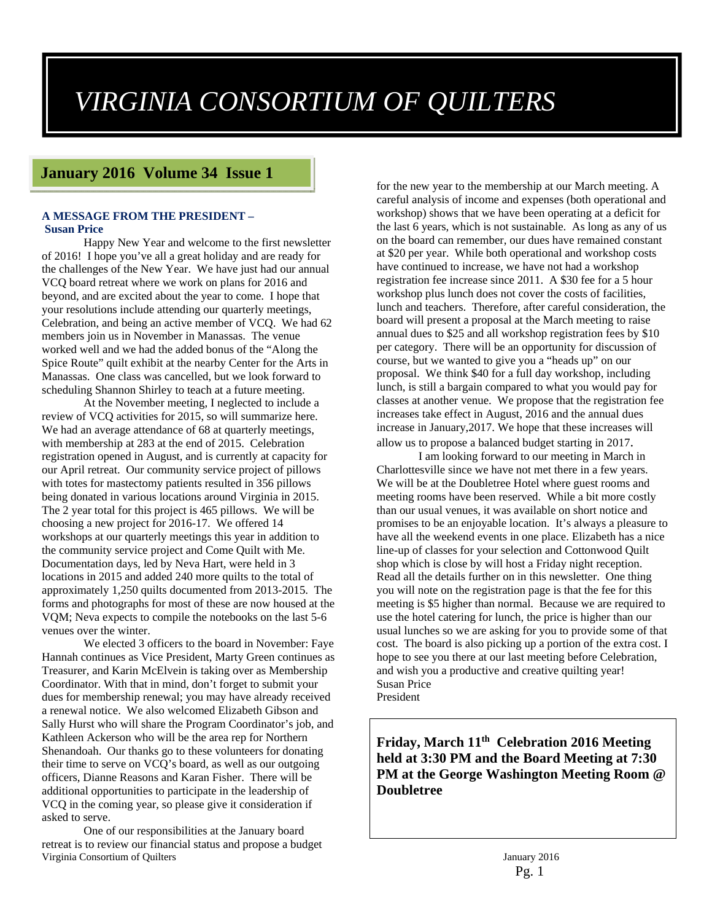# *VIRGINIA CONSORTIUM OF QUILTERS*

## **January 2016 Volume 34 Issue 1**

#### **A MESSAGE FROM THE PRESIDENT – Susan Price**

Happy New Year and welcome to the first newsletter of 2016! I hope you've all a great holiday and are ready for the challenges of the New Year. We have just had our annual VCQ board retreat where we work on plans for 2016 and beyond, and are excited about the year to come. I hope that your resolutions include attending our quarterly meetings, Celebration, and being an active member of VCQ. We had 62 members join us in November in Manassas. The venue worked well and we had the added bonus of the "Along the Spice Route" quilt exhibit at the nearby Center for the Arts in Manassas. One class was cancelled, but we look forward to scheduling Shannon Shirley to teach at a future meeting.

At the November meeting, I neglected to include a review of VCQ activities for 2015, so will summarize here. We had an average attendance of 68 at quarterly meetings, with membership at 283 at the end of 2015. Celebration registration opened in August, and is currently at capacity for our April retreat. Our community service project of pillows with totes for mastectomy patients resulted in 356 pillows being donated in various locations around Virginia in 2015. The 2 year total for this project is 465 pillows. We will be choosing a new project for 2016-17. We offered 14 workshops at our quarterly meetings this year in addition to the community service project and Come Quilt with Me. Documentation days, led by Neva Hart, were held in 3 locations in 2015 and added 240 more quilts to the total of approximately 1,250 quilts documented from 2013-2015. The forms and photographs for most of these are now housed at the VQM; Neva expects to compile the notebooks on the last 5-6 venues over the winter.

We elected 3 officers to the board in November: Faye Hannah continues as Vice President, Marty Green continues as Treasurer, and Karin McElvein is taking over as Membership Coordinator. With that in mind, don't forget to submit your dues for membership renewal; you may have already received a renewal notice. We also welcomed Elizabeth Gibson and Sally Hurst who will share the Program Coordinator's job, and Kathleen Ackerson who will be the area rep for Northern Shenandoah. Our thanks go to these volunteers for donating their time to serve on VCQ's board, as well as our outgoing officers, Dianne Reasons and Karan Fisher. There will be additional opportunities to participate in the leadership of VCQ in the coming year, so please give it consideration if asked to serve.

Virginia Consortium of Quilters January 2016 One of our responsibilities at the January board retreat is to review our financial status and propose a budget

for the new year to the membership at our March meeting. A careful analysis of income and expenses (both operational and workshop) shows that we have been operating at a deficit for the last 6 years, which is not sustainable. As long as any of us on the board can remember, our dues have remained constant at \$20 per year. While both operational and workshop costs have continued to increase, we have not had a workshop registration fee increase since 2011. A \$30 fee for a 5 hour workshop plus lunch does not cover the costs of facilities, lunch and teachers. Therefore, after careful consideration, the board will present a proposal at the March meeting to raise annual dues to \$25 and all workshop registration fees by \$10 per category. There will be an opportunity for discussion of course, but we wanted to give you a "heads up" on our proposal. We think \$40 for a full day workshop, including lunch, is still a bargain compared to what you would pay for classes at another venue. We propose that the registration fee increases take effect in August, 2016 and the annual dues increase in January,2017. We hope that these increases will

allow us to propose a balanced budget starting in 2017. I am looking forward to our meeting in March in Charlottesville since we have not met there in a few years. We will be at the Doubletree Hotel where guest rooms and meeting rooms have been reserved. While a bit more costly than our usual venues, it was available on short notice and promises to be an enjoyable location. It's always a pleasure to have all the weekend events in one place. Elizabeth has a nice line-up of classes for your selection and Cottonwood Quilt shop which is close by will host a Friday night reception. Read all the details further on in this newsletter. One thing you will note on the registration page is that the fee for this meeting is \$5 higher than normal. Because we are required to use the hotel catering for lunch, the price is higher than our usual lunches so we are asking for you to provide some of that cost. The board is also picking up a portion of the extra cost. I hope to see you there at our last meeting before Celebration, and wish you a productive and creative quilting year! Susan Price President

**Friday, March 11th Celebration 2016 Meeting held at 3:30 PM and the Board Meeting at 7:30 PM at the George Washington Meeting Room @ Doubletree**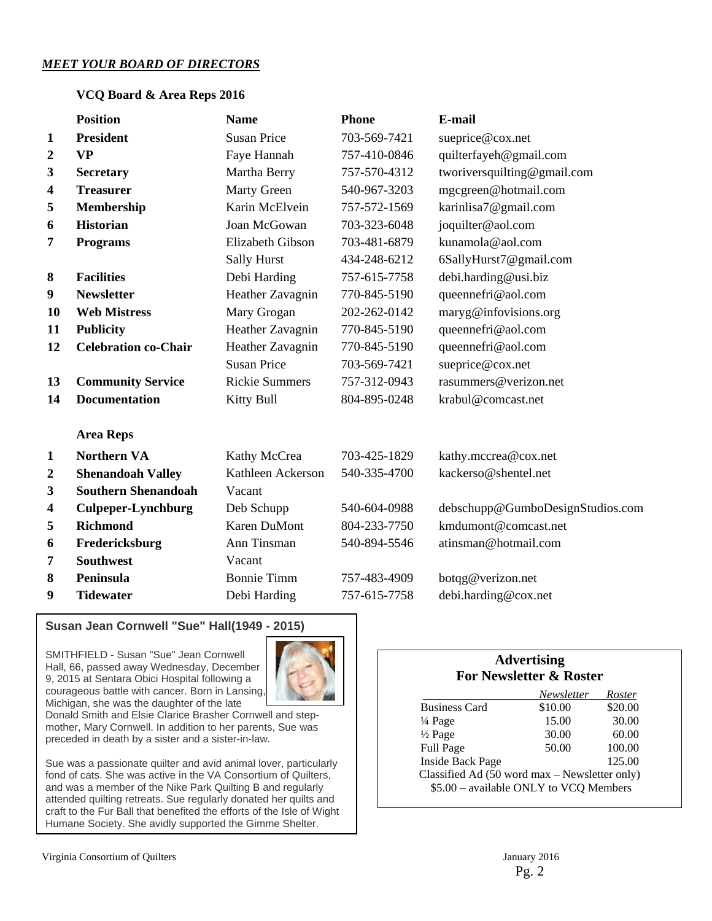#### *MEET YOUR BOARD OF DIRECTORS*

#### **VCQ Board & Area Reps 2016**

|                         | <b>Position</b>             | <b>Name</b>           | <b>Phone</b> | E-mail                           |
|-------------------------|-----------------------------|-----------------------|--------------|----------------------------------|
| $\mathbf{1}$            | <b>President</b>            | <b>Susan Price</b>    | 703-569-7421 | sueprice@cox.net                 |
| 2                       | <b>VP</b>                   | Faye Hannah           | 757-410-0846 | quilterfayeh@gmail.com           |
| 3                       | <b>Secretary</b>            | Martha Berry          | 757-570-4312 | tworiversquilting@gmail.com      |
| 4                       | <b>Treasurer</b>            | <b>Marty Green</b>    | 540-967-3203 | mgcgreen@hotmail.com             |
| 5                       | Membership                  | Karin McElvein        | 757-572-1569 | karinlisa7@gmail.com             |
| 6                       | <b>Historian</b>            | Joan McGowan          | 703-323-6048 | joquilter@aol.com                |
| 7                       | <b>Programs</b>             | Elizabeth Gibson      | 703-481-6879 | kunamola@aol.com                 |
|                         |                             | <b>Sally Hurst</b>    | 434-248-6212 | 6SallyHurst7@gmail.com           |
| 8                       | <b>Facilities</b>           | Debi Harding          | 757-615-7758 | debi.harding@usi.biz             |
| 9                       | <b>Newsletter</b>           | Heather Zavagnin      | 770-845-5190 | queennefri@aol.com               |
| 10                      | <b>Web Mistress</b>         | Mary Grogan           | 202-262-0142 | maryg@infovisions.org            |
| 11                      | <b>Publicity</b>            | Heather Zavagnin      | 770-845-5190 | queennefri@aol.com               |
| 12                      | <b>Celebration co-Chair</b> | Heather Zavagnin      | 770-845-5190 | queennefri@aol.com               |
|                         |                             | <b>Susan Price</b>    | 703-569-7421 | sueprice@cox.net                 |
| 13                      | <b>Community Service</b>    | <b>Rickie Summers</b> | 757-312-0943 | rasummers@verizon.net            |
| 14                      | <b>Documentation</b>        | Kitty Bull            | 804-895-0248 | krabul@comcast.net               |
|                         | <b>Area Reps</b>            |                       |              |                                  |
| $\mathbf{1}$            | <b>Northern VA</b>          | Kathy McCrea          | 703-425-1829 | kathy.mccrea@cox.net             |
| $\boldsymbol{2}$        | <b>Shenandoah Valley</b>    | Kathleen Ackerson     | 540-335-4700 | kackerso@shentel.net             |
| $\mathbf{3}$            | <b>Southern Shenandoah</b>  | Vacant                |              |                                  |
| $\overline{\mathbf{4}}$ | <b>Culpeper-Lynchburg</b>   | Deb Schupp            | 540-604-0988 | debschupp@GumboDesignStudios.com |
| 5                       | <b>Richmond</b>             | <b>Karen DuMont</b>   | 804-233-7750 | kmdumont@comcast.net             |
| 6                       | Fredericksburg              | Ann Tinsman           | 540-894-5546 | atinsman@hotmail.com             |
| 7                       | <b>Southwest</b>            | Vacant                |              |                                  |
| 8                       | <b>Peninsula</b>            | <b>Bonnie Timm</b>    | 757-483-4909 | botqg@verizon.net                |
| 9                       | <b>Tidewater</b>            | Debi Harding          | 757-615-7758 | debi.harding@cox.net             |

#### **Susan Jean Cornwell "Sue" Hall(1949 - 2015)**

SMITHFIELD - Susan "Sue" Jean Cornwell Hall, 66, passed away Wednesday, December 9, 2015 at Sentara Obici Hospital following a courageous battle with cancer. Born in Lansing, Michigan, she was the daughter of the late



Donald Smith and Elsie Clarice Brasher Cornwell and stepmother, Mary Cornwell. In addition to her parents, Sue was preceded in death by a sister and a sister-in-law.

**VCQ General Meeting Minutes**  Humane Society. She avidly supported the Gimme Shelter.Sue was a passionate quilter and avid animal lover, particularly fond of cats. She was active in the VA Consortium of Quilters, and was a member of the Nike Park Quilting B and regularly attended quilting retreats. Sue regularly donated her quilts and craft to the Fur Ball that benefited the efforts of the Isle of Wight

#### **Advertising For Newsletter & Roster**

|                                               | Newsletter | Roster  |  |  |
|-----------------------------------------------|------------|---------|--|--|
| <b>Business Card</b>                          | \$10.00    | \$20.00 |  |  |
| $\frac{1}{4}$ Page                            | 15.00      | 30.00   |  |  |
| $\frac{1}{2}$ Page                            | 30.00      | 60.00   |  |  |
| Full Page                                     | 50.00      | 100.00  |  |  |
| <b>Inside Back Page</b>                       |            | 125.00  |  |  |
| Classified Ad (50 word max – Newsletter only) |            |         |  |  |
| \$5.00 - available ONLY to VCQ Members        |            |         |  |  |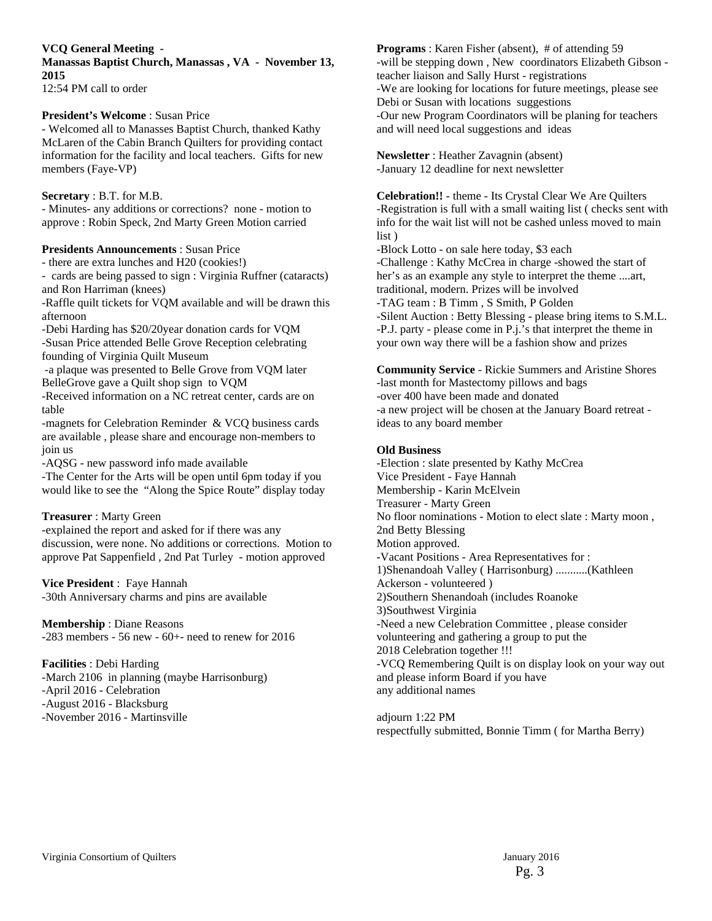**VCQ General Meeting -** 

**Manassas Baptist Church, Manassas , VA - November 13, 2015**  12:54 PM call to order

#### **President's Welcome** : Susan Price

- Welcomed all to Manasses Baptist Church, thanked Kathy McLaren of the Cabin Branch Quilters for providing contact information for the facility and local teachers. Gifts for new members (Faye-VP)

#### **Secretary** : B.T. for M.B.

- Minutes- any additions or corrections? none - motion to approve : Robin Speck, 2nd Marty Green Motion carried

#### **Presidents Announcements** : Susan Price

- there are extra lunches and H20 (cookies!)

- cards are being passed to sign : Virginia Ruffner (cataracts) and Ron Harriman (knees)

-Raffle quilt tickets for VQM available and will be drawn this afternoon

-Debi Harding has \$20/20year donation cards for VQM -Susan Price attended Belle Grove Reception celebrating founding of Virginia Quilt Museum

 -a plaque was presented to Belle Grove from VQM later BelleGrove gave a Quilt shop sign to VQM

-Received information on a NC retreat center, cards are on table

-magnets for Celebration Reminder & VCQ business cards are available , please share and encourage non-members to join us

-AQSG - new password info made available

-The Center for the Arts will be open until 6pm today if you would like to see the "Along the Spice Route" display today

#### **Treasurer** : Marty Green

-explained the report and asked for if there was any discussion, were none. No additions or corrections. Motion to approve Pat Sappenfield , 2nd Pat Turley - motion approved

**Vice President** : Faye Hannah -30th Anniversary charms and pins are available

**Membership** : Diane Reasons  $-283$  members  $-56$  new  $-60$ + $-$  need to renew for 2016

**Facilities** : Debi Harding -March 2106 in planning (maybe Harrisonburg) -April 2016 - Celebration -August 2016 - Blacksburg -November 2016 - Martinsville

**Programs**: Karen Fisher (absent), # of attending 59 -will be stepping down , New coordinators Elizabeth Gibson teacher liaison and Sally Hurst - registrations -We are looking for locations for future meetings, please see Debi or Susan with locations suggestions -Our new Program Coordinators will be planing for teachers and will need local suggestions and ideas

**Newsletter** : Heather Zavagnin (absent) -January 12 deadline for next newsletter

**Celebration!!** - theme - Its Crystal Clear We Are Quilters -Registration is full with a small waiting list ( checks sent with info for the wait list will not be cashed unless moved to main list )

-Block Lotto - on sale here today, \$3 each -Challenge : Kathy McCrea in charge -showed the start of her's as an example any style to interpret the theme ....art, traditional, modern. Prizes will be involved -TAG team : B Timm , S Smith, P Golden -Silent Auction : Betty Blessing - please bring items to S.M.L. -P.J. party - please come in P.j.'s that interpret the theme in your own way there will be a fashion show and prizes

**Community Service** - Rickie Summers and Aristine Shores -last month for Mastectomy pillows and bags -over 400 have been made and donated -a new project will be chosen at the January Board retreat ideas to any board member

#### **Old Business**

-Election : slate presented by Kathy McCrea Vice President - Faye Hannah Membership - Karin McElvein Treasurer - Marty Green No floor nominations - Motion to elect slate : Marty moon , 2nd Betty Blessing Motion approved. -Vacant Positions - Area Representatives for : 1)Shenandoah Valley ( Harrisonburg) ...........(Kathleen Ackerson - volunteered ) 2)Southern Shenandoah (includes Roanoke 3)Southwest Virginia -Need a new Celebration Committee , please consider volunteering and gathering a group to put the 2018 Celebration together !!! -VCQ Remembering Quilt is on display look on your way out and please inform Board if you have any additional names

adjourn 1:22 PM respectfully submitted, Bonnie Timm ( for Martha Berry)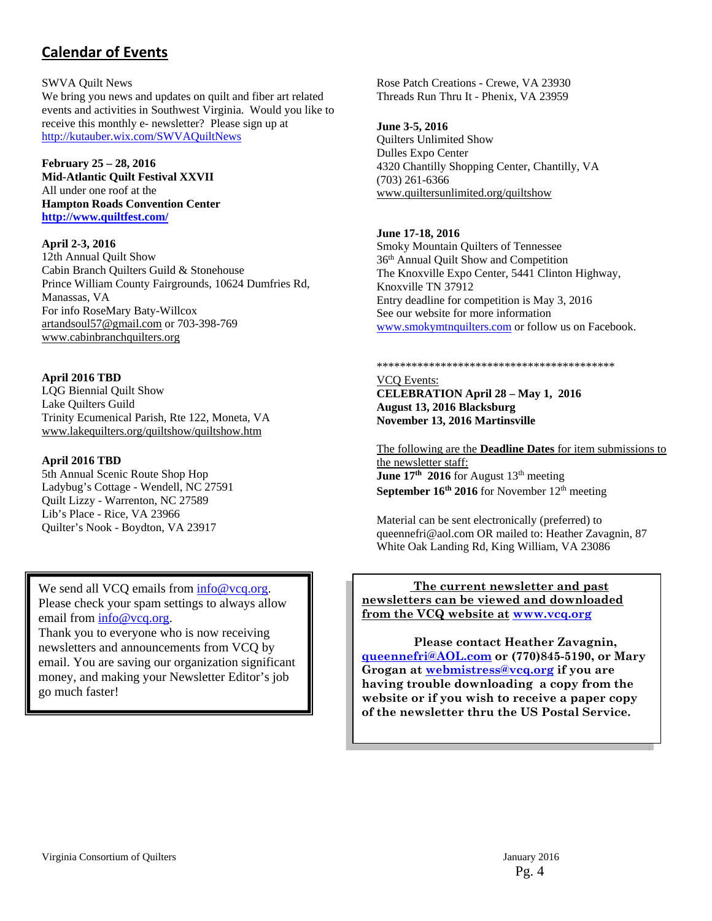# **Calendar of Events**

#### SWVA Quilt News

We bring you news and updates on quilt and fiber art related events and activities in Southwest Virginia. Would you like to receive this monthly e- newsletter? Please sign up at http://kutauber.wix.com/SWVAQuiltNews

#### **February 25 – 28, 2016**

**Mid-Atlantic Quilt Festival XXVII**  All under one roof at the **Hampton Roads Convention Center http://www.quiltfest.com/** 

#### **April 2-3, 2016**

12th Annual Quilt Show Cabin Branch Quilters Guild & Stonehouse Prince William County Fairgrounds, 10624 Dumfries Rd, Manassas, VA For info RoseMary Baty-Willcox artandsoul57@gmail.com or 703-398-769 www.cabinbranchquilters.org

**April 2016 TBD** LQG Biennial Quilt Show Lake Quilters Guild Trinity Ecumenical Parish, Rte 122, Moneta, VA www.lakequilters.org/quiltshow/quiltshow.htm

#### **April 2016 TBD**

5th Annual Scenic Route Shop Hop Ladybug's Cottage - Wendell, NC 27591 Quilt Lizzy - Warrenton, NC 27589 Lib's Place - Rice, VA 23966 Quilter's Nook - Boydton, VA 23917

We send all VCQ emails from  $info@vcq.org$ . Please check your spam settings to always allow email from info@vcq.org.

Thank you to everyone who is now receiving newsletters and announcements from VCQ by email. You are saving our organization significant money, and making your Newsletter Editor's job go much faster!

Rose Patch Creations - Crewe, VA 23930 Threads Run Thru It - Phenix, VA 23959

#### **June 3-5, 2016**

Quilters Unlimited Show Dulles Expo Center 4320 Chantilly Shopping Center, Chantilly, VA (703) 261-6366 www.quiltersunlimited.org/quiltshow

#### **June 17-18, 2016**

Smoky Mountain Quilters of Tennessee 36th Annual Quilt Show and Competition The Knoxville Expo Center, 5441 Clinton Highway, Knoxville TN 37912 Entry deadline for competition is May 3, 2016 See our website for more information www.smokymtnquilters.com or follow us on Facebook.

#### \*\*\*\*\*\*\*\*\*\*\*\*\*\*\*\*\*\*\*\*\*\*\*\*\*\*\*\*\*\*\*\*\*\*\*\*\*\*\*\*\*

VCQ Events: **CELEBRATION April 28 – May 1, 2016 August 13, 2016 Blacksburg November 13, 2016 Martinsville** 

The following are the **Deadline Dates** for item submissions to the newsletter staff: **June 17th 2016 for August 13th meeting September 16<sup>th</sup> 2016** for November 12<sup>th</sup> meeting

Material can be sent electronically (preferred) to queennefri@aol.com OR mailed to: Heather Zavagnin, 87 White Oak Landing Rd, King William, VA 23086

#### **The current newsletter and past newsletters can be viewed and downloaded from the VCQ website at www.vcq.org**

 **Please contact Heather Zavagnin, queennefri@AOL.com or (770)845-5190, or Mary Grogan at webmistress@vcq.org if you are having trouble downloading a copy from the website or if you wish to receive a paper copy of the newsletter thru the US Postal Service.**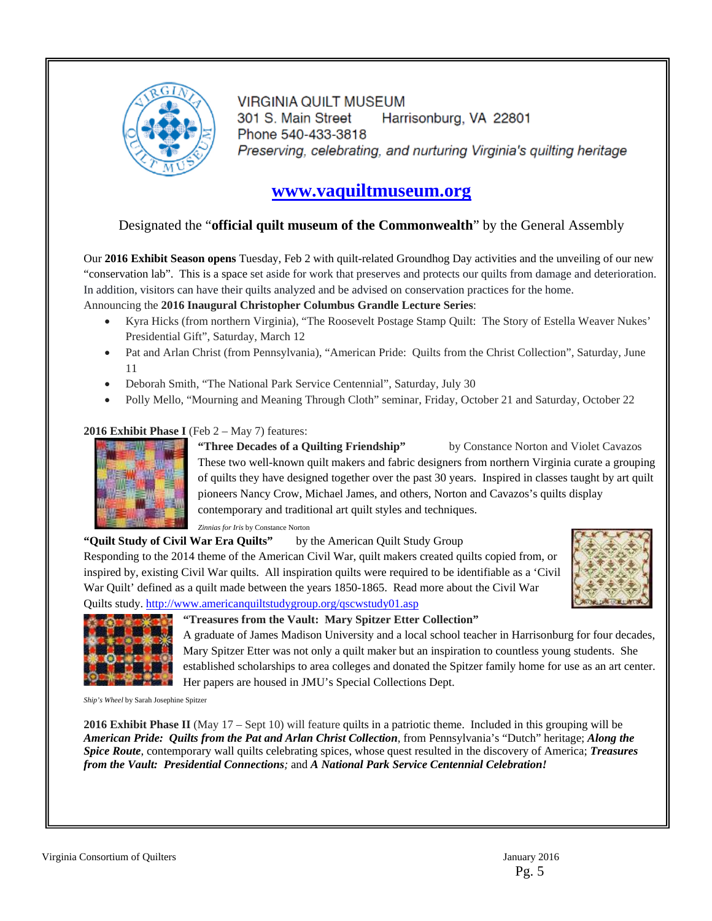

**VIRGINIA QUILT MUSEUM** 301 S. Main Street Harrisonburg, VA 22801 Phone 540-433-3818 Preserving, celebrating, and nurturing Virginia's quilting heritage

# **www.vaquiltmuseum.org**

#### Designated the "**official quilt museum of the Commonwealth**" by the General Assembly

Our **2016 Exhibit Season opens** Tuesday, Feb 2 with quilt-related Groundhog Day activities and the unveiling of our new "conservation lab". This is a space set aside for work that preserves and protects our quilts from damage and deterioration. In addition, visitors can have their quilts analyzed and be advised on conservation practices for the home.

#### Announcing the **2016 Inaugural Christopher Columbus Grandle Lecture Series**:

- Kyra Hicks (from northern Virginia), "The Roosevelt Postage Stamp Quilt: The Story of Estella Weaver Nukes' Presidential Gift", Saturday, March 12
- Pat and Arlan Christ (from Pennsylvania), "American Pride: Quilts from the Christ Collection", Saturday, June 11
- Deborah Smith, "The National Park Service Centennial", Saturday, July 30
- Polly Mello, "Mourning and Meaning Through Cloth" seminar, Friday, October 21 and Saturday, October 22

#### **2016 Exhibit Phase I** (Feb 2 – May 7) features:



**"Three Decades of a Quilting Friendship"** by Constance Norton and Violet Cavazos These two well-known quilt makers and fabric designers from northern Virginia curate a grouping of quilts they have designed together over the past 30 years. Inspired in classes taught by art quilt pioneers Nancy Crow, Michael James, and others, Norton and Cavazos's quilts display contemporary and traditional art quilt styles and techniques.

*Zinnias for Iris* by Constance Norton

#### **"Quilt Study of Civil War Era Quilts"** by the American Quilt Study Group

Responding to the 2014 theme of the American Civil War, quilt makers created quilts copied from, or inspired by, existing Civil War quilts. All inspiration quilts were required to be identifiable as a 'Civil War Quilt' defined as a quilt made between the years 1850-1865. Read more about the Civil War Quilts study. http://www.americanquiltstudygroup.org/qscwstudy01.asp





#### **"Treasures from the Vault: Mary Spitzer Etter Collection"**

A graduate of James Madison University and a local school teacher in Harrisonburg for four decades, Mary Spitzer Etter was not only a quilt maker but an inspiration to countless young students. She established scholarships to area colleges and donated the Spitzer family home for use as an art center. Her papers are housed in JMU's Special Collections Dept.

*Ship's Wheel* by Sarah Josephine Spitzer

**2016 Exhibit Phase II** (May 17 – Sept 10) will feature quilts in a patriotic theme. Included in this grouping will be *American Pride: Quilts from the Pat and Arlan Christ Collection*, from Pennsylvania's "Dutch" heritage; *Along the Spice Route*, contemporary wall quilts celebrating spices, whose quest resulted in the discovery of America; *Treasures from the Vault: Presidential Connections;* and *A National Park Service Centennial Celebration!*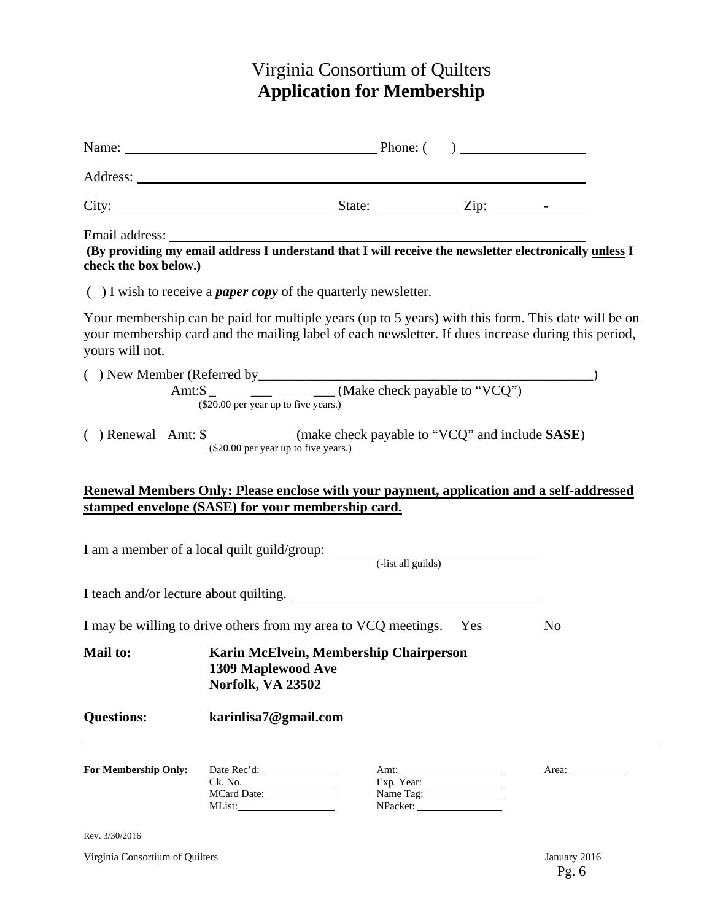# Virginia Consortium of Quilters **Application for Membership**

|                                                                                                                                               | Name: <u>Name:</u> Phone: ( )                                                                                                                                                                          |  |                                 |                                                                                                     |  |
|-----------------------------------------------------------------------------------------------------------------------------------------------|--------------------------------------------------------------------------------------------------------------------------------------------------------------------------------------------------------|--|---------------------------------|-----------------------------------------------------------------------------------------------------|--|
|                                                                                                                                               | Address: <u>New York: Address:</u>                                                                                                                                                                     |  |                                 |                                                                                                     |  |
|                                                                                                                                               |                                                                                                                                                                                                        |  |                                 |                                                                                                     |  |
| check the box below.)                                                                                                                         | Email address: The address of the set of the set of the set of the set of the set of the set of the providing my email address I understand that I will receive the newsletter electronically unless I |  |                                 |                                                                                                     |  |
|                                                                                                                                               | $( )$ I wish to receive a <i>paper copy</i> of the quarterly newsletter.                                                                                                                               |  |                                 |                                                                                                     |  |
| yours will not.                                                                                                                               | your membership card and the mailing label of each newsletter. If dues increase during this period,                                                                                                    |  |                                 | Your membership can be paid for multiple years (up to 5 years) with this form. This date will be on |  |
|                                                                                                                                               |                                                                                                                                                                                                        |  |                                 |                                                                                                     |  |
|                                                                                                                                               | () Renewal Amt: \$_____________(make check payable to "VCQ" and include SASE)<br>(\$20.00 per year up to five years.)                                                                                  |  |                                 |                                                                                                     |  |
| Renewal Members Only: Please enclose with your payment, application and a self-addressed<br>stamped envelope (SASE) for your membership card. |                                                                                                                                                                                                        |  |                                 |                                                                                                     |  |
|                                                                                                                                               |                                                                                                                                                                                                        |  |                                 |                                                                                                     |  |
|                                                                                                                                               |                                                                                                                                                                                                        |  |                                 |                                                                                                     |  |
|                                                                                                                                               | I may be willing to drive others from my area to VCQ meetings. Yes                                                                                                                                     |  |                                 | N <sub>0</sub>                                                                                      |  |
| Mail to:                                                                                                                                      | Karin McElvein, Membership Chairperson<br>1309 Maplewood Ave<br>Norfolk, VA 23502                                                                                                                      |  |                                 |                                                                                                     |  |
| <b>Questions:</b>                                                                                                                             | karinlisa7@gmail.com                                                                                                                                                                                   |  |                                 |                                                                                                     |  |
| For Membership Only:                                                                                                                          | Ck. No.<br>MCard Date:                                                                                                                                                                                 |  | Amt:<br>Exp. Year:<br>Name Tag: | Area:                                                                                               |  |
| Rev. 3/30/2016                                                                                                                                |                                                                                                                                                                                                        |  |                                 |                                                                                                     |  |

Virginia Consortium of Quilters January 2016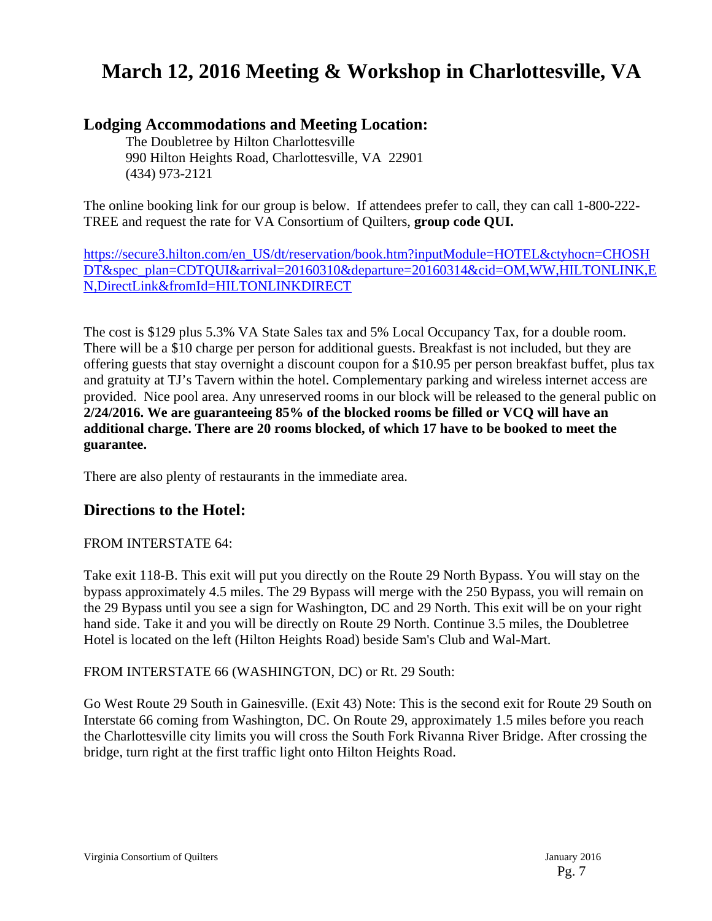# **March 12, 2016 Meeting & Workshop in Charlottesville, VA**

# **Lodging Accommodations and Meeting Location:**

The Doubletree by Hilton Charlottesville 990 Hilton Heights Road, Charlottesville, VA 22901 (434) 973-2121

The online booking link for our group is below. If attendees prefer to call, they can call 1-800-222- TREE and request the rate for VA Consortium of Quilters, **group code QUI.**

https://secure3.hilton.com/en\_US/dt/reservation/book.htm?inputModule=HOTEL&ctyhocn=CHOSH DT&spec\_plan=CDTQUI&arrival=20160310&departure=20160314&cid=OM,WW,HILTONLINK,E N,DirectLink&fromId=HILTONLINKDIRECT

The cost is \$129 plus 5.3% VA State Sales tax and 5% Local Occupancy Tax, for a double room. There will be a \$10 charge per person for additional guests. Breakfast is not included, but they are offering guests that stay overnight a discount coupon for a \$10.95 per person breakfast buffet, plus tax and gratuity at TJ's Tavern within the hotel. Complementary parking and wireless internet access are provided. Nice pool area. Any unreserved rooms in our block will be released to the general public on **2/24/2016. We are guaranteeing 85% of the blocked rooms be filled or VCQ will have an additional charge. There are 20 rooms blocked, of which 17 have to be booked to meet the guarantee.** 

There are also plenty of restaurants in the immediate area.

# **Directions to the Hotel:**

## FROM INTERSTATE 64:

Take exit 118-B. This exit will put you directly on the Route 29 North Bypass. You will stay on the bypass approximately 4.5 miles. The 29 Bypass will merge with the 250 Bypass, you will remain on the 29 Bypass until you see a sign for Washington, DC and 29 North. This exit will be on your right hand side. Take it and you will be directly on Route 29 North. Continue 3.5 miles, the Doubletree Hotel is located on the left (Hilton Heights Road) beside Sam's Club and Wal-Mart.

FROM INTERSTATE 66 (WASHINGTON, DC) or Rt. 29 South:

Go West Route 29 South in Gainesville. (Exit 43) Note: This is the second exit for Route 29 South on Interstate 66 coming from Washington, DC. On Route 29, approximately 1.5 miles before you reach the Charlottesville city limits you will cross the South Fork Rivanna River Bridge. After crossing the bridge, turn right at the first traffic light onto Hilton Heights Road.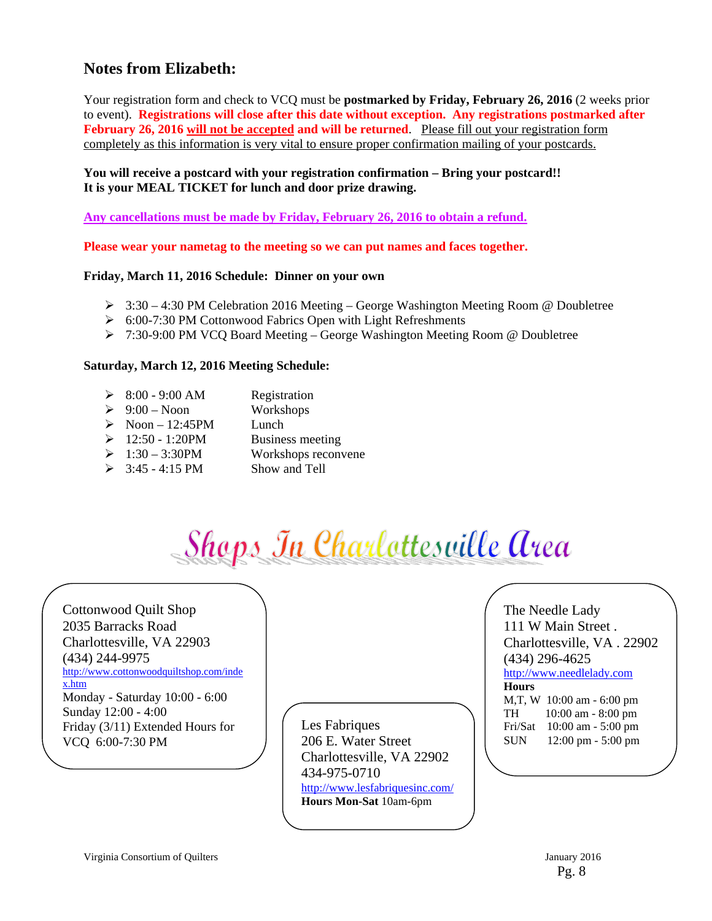# **Notes from Elizabeth:**

Your registration form and check to VCQ must be **postmarked by Friday, February 26, 2016** (2 weeks prior to event). **Registrations will close after this date without exception. Any registrations postmarked after February 26, 2016 will not be accepted and will be returned**. Please fill out your registration form completely as this information is very vital to ensure proper confirmation mailing of your postcards.

#### **You will receive a postcard with your registration confirmation – Bring your postcard!! It is your MEAL TICKET for lunch and door prize drawing.**

**Any cancellations must be made by Friday, February 26, 2016 to obtain a refund.** 

**Please wear your nametag to the meeting so we can put names and faces together.** 

#### **Friday, March 11, 2016 Schedule: Dinner on your own**

- $\geq 3:30 4:30 \text{ PM}$  Celebration 2016 Meeting George Washington Meeting Room @ Doubletree
- ▶ 6:00-7:30 PM Cottonwood Fabrics Open with Light Refreshments
- $\triangleright$  7:30-9:00 PM VCQ Board Meeting George Washington Meeting Room @ Doubletree

#### **Saturday, March 12, 2016 Meeting Schedule:**

- $\geq 8:00 9:00$  AM Registration
- $\geq 9:00$  Noon Workshops
- $\triangleright$  Noon 12:45PM Lunch
- $\geq 12:50 1:20$ PM Business meeting
- $\geq 1:30 3:30$ PM Workshops reconvene
- $\geq$  3:45 4:15 PM Show and Tell

Shaps In Charlottesville Area

Cottonwood Quilt Shop 2035 Barracks Road Charlottesville, VA 22903 (434) 244-9975 http://www.cottonwoodquiltshop.com/inde x.htm Monday - Saturday 10:00 - 6:00 Sunday 12:00 - 4:00 Friday (3/11) Extended Hours for VCQ 6:00-7:30 PM

Les Fabriques 206 E. Water Street Charlottesville, VA 22902 434-975-0710 http://www.lesfabriquesinc.com/ **Hours Mon-Sat** 10am-6pm

The Needle Lady 111 W Main Street . Charlottesville, VA . 22902 (434) 296-4625

http://www.needlelady.com

#### **Hours**

M,T, W 10:00 am - 6:00 pm TH 10:00 am - 8:00 pm Fri/Sat 10:00 am - 5:00 pm SUN 12:00 pm - 5:00 pm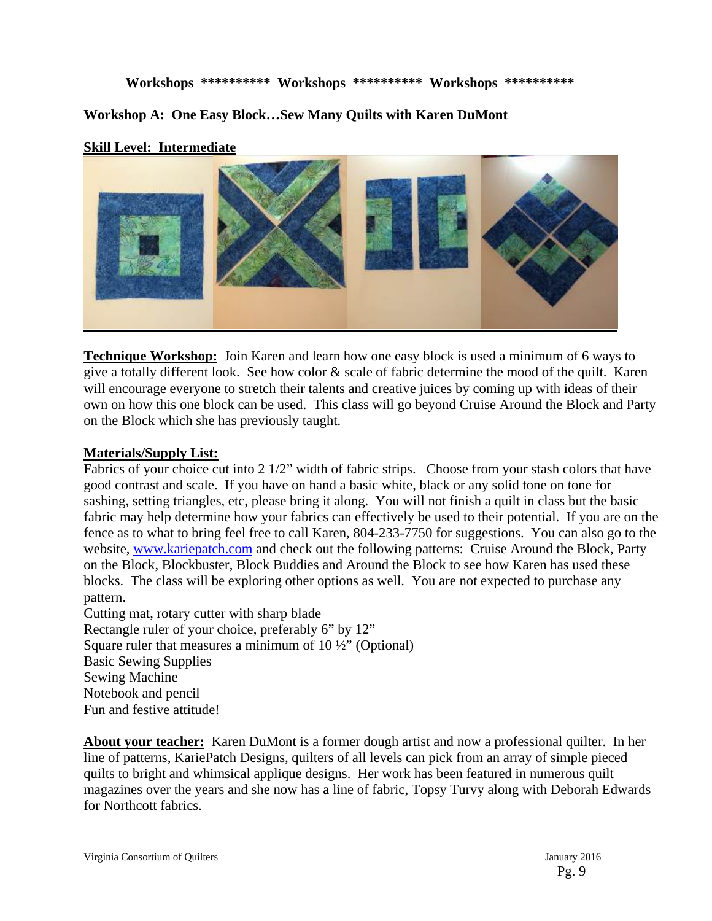**Workshops \*\*\*\*\*\*\*\*\*\* Workshops \*\*\*\*\*\*\*\*\*\* Workshops \*\*\*\*\*\*\*\*\*\*** 

**Workshop A: One Easy Block…Sew Many Quilts with Karen DuMont** 

## **Skill Level: Intermediate**



**Technique Workshop:** Join Karen and learn how one easy block is used a minimum of 6 ways to give a totally different look. See how color  $\&$  scale of fabric determine the mood of the quilt. Karen will encourage everyone to stretch their talents and creative juices by coming up with ideas of their own on how this one block can be used. This class will go beyond Cruise Around the Block and Party on the Block which she has previously taught.

#### **Materials/Supply List:**

Fabrics of your choice cut into 2 1/2" width of fabric strips. Choose from your stash colors that have good contrast and scale. If you have on hand a basic white, black or any solid tone on tone for sashing, setting triangles, etc, please bring it along. You will not finish a quilt in class but the basic fabric may help determine how your fabrics can effectively be used to their potential. If you are on the fence as to what to bring feel free to call Karen, 804-233-7750 for suggestions. You can also go to the website, www.kariepatch.com and check out the following patterns: Cruise Around the Block, Party on the Block, Blockbuster, Block Buddies and Around the Block to see how Karen has used these blocks. The class will be exploring other options as well. You are not expected to purchase any pattern.

Cutting mat, rotary cutter with sharp blade Rectangle ruler of your choice, preferably 6" by 12" Square ruler that measures a minimum of 10 ½" (Optional) Basic Sewing Supplies Sewing Machine Notebook and pencil Fun and festive attitude!

**About your teacher:** Karen DuMont is a former dough artist and now a professional quilter. In her line of patterns, KariePatch Designs, quilters of all levels can pick from an array of simple pieced quilts to bright and whimsical applique designs. Her work has been featured in numerous quilt magazines over the years and she now has a line of fabric, Topsy Turvy along with Deborah Edwards for Northcott fabrics.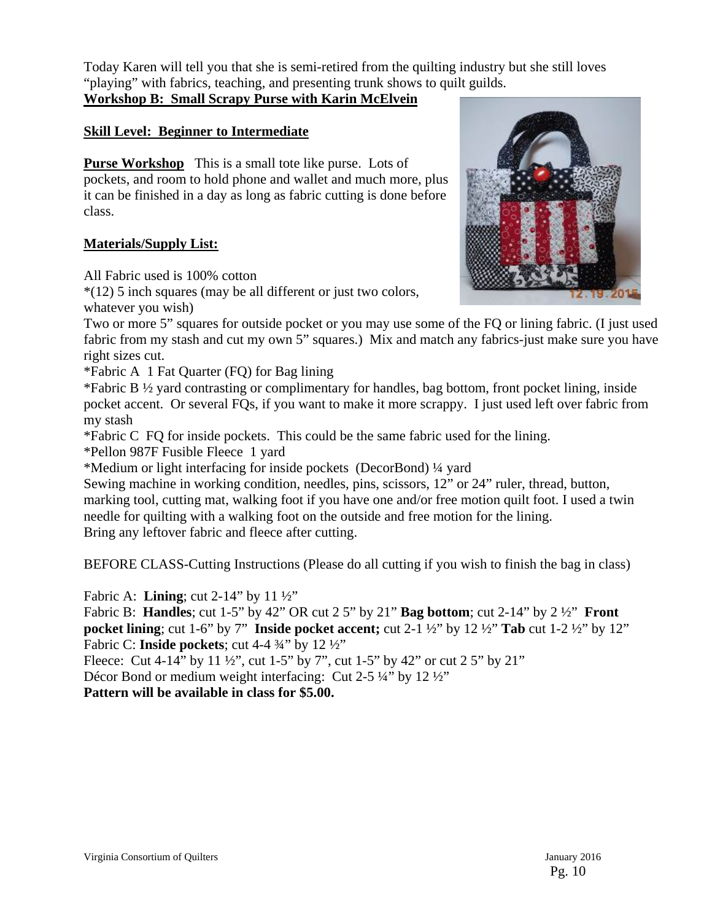Today Karen will tell you that she is semi-retired from the quilting industry but she still loves "playing" with fabrics, teaching, and presenting trunk shows to quilt guilds. **Workshop B: Small Scrapy Purse with Karin McElvein** 

# **Skill Level: Beginner to Intermediate**

**Purse Workshop** This is a small tote like purse. Lots of pockets, and room to hold phone and wallet and much more, plus it can be finished in a day as long as fabric cutting is done before class.

#### **Materials/Supply List:**

All Fabric used is 100% cotton

\*(12) 5 inch squares (may be all different or just two colors, whatever you wish)



Two or more 5" squares for outside pocket or you may use some of the FQ or lining fabric. (I just used fabric from my stash and cut my own 5" squares.) Mix and match any fabrics-just make sure you have right sizes cut.

\*Fabric A 1 Fat Quarter (FQ) for Bag lining

\*Fabric B ½ yard contrasting or complimentary for handles, bag bottom, front pocket lining, inside pocket accent. Or several FQs, if you want to make it more scrappy. I just used left over fabric from my stash

\*Fabric C FQ for inside pockets. This could be the same fabric used for the lining.

\*Pellon 987F Fusible Fleece 1 yard

\*Medium or light interfacing for inside pockets (DecorBond) ¼ yard

Sewing machine in working condition, needles, pins, scissors, 12" or 24" ruler, thread, button, marking tool, cutting mat, walking foot if you have one and/or free motion quilt foot. I used a twin needle for quilting with a walking foot on the outside and free motion for the lining. Bring any leftover fabric and fleece after cutting.

BEFORE CLASS-Cutting Instructions (Please do all cutting if you wish to finish the bag in class)

Fabric A: **Lining**; cut 2-14" by 11 ½"

Fabric B: **Handles**; cut 1-5" by 42" OR cut 2 5" by 21" **Bag bottom**; cut 2-14" by 2 ½" **Front pocket lining**; cut 1-6" by 7" **Inside pocket accent;** cut 2-1 ½" by 12 ½" **Tab** cut 1-2 ½" by 12" Fabric C: **Inside pockets**; cut 4-4 ¾" by 12 ½"

Fleece: Cut 4-14" by 11 ½", cut 1-5" by 7", cut 1-5" by 42" or cut 2 5" by 21"

Décor Bond or medium weight interfacing: Cut 2-5 ¼" by 12 ½"

**Pattern will be available in class for \$5.00.**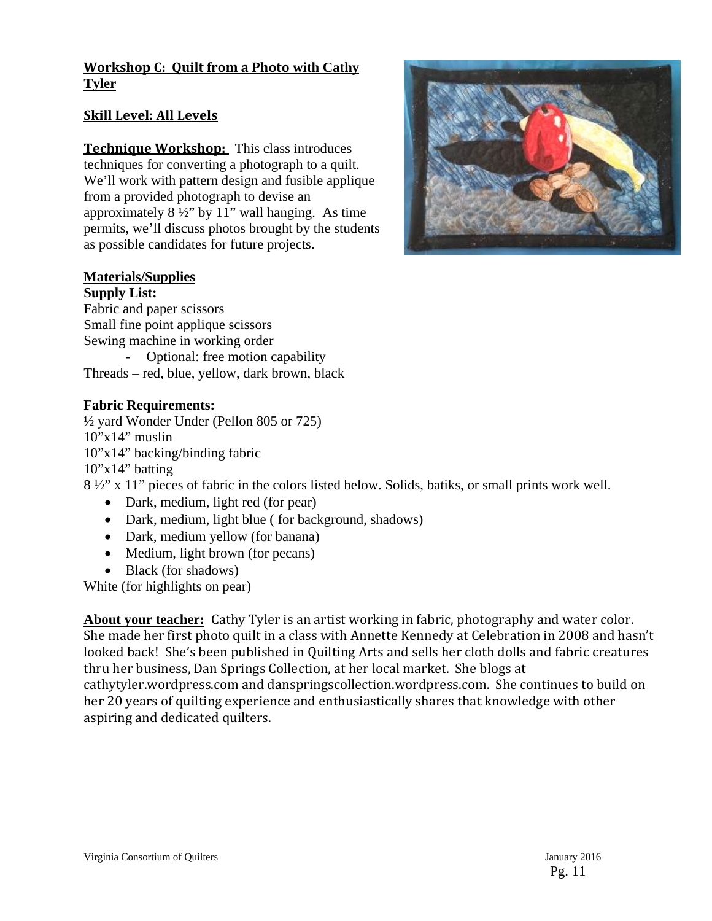# **Workshop C: Quilt from a Photo with Cathy Tyler**

# **Skill Level: All Levels**

**Technique Workshop:** This class introduces techniques for converting a photograph to a quilt. We'll work with pattern design and fusible applique from a provided photograph to devise an approximately  $8\frac{1}{2}$ " by 11" wall hanging. As time permits, we'll discuss photos brought by the students as possible candidates for future projects.



## **Materials/Supplies**

#### **Supply List:**

Fabric and paper scissors Small fine point applique scissors Sewing machine in working order - Optional: free motion capability Threads – red, blue, yellow, dark brown, black

## **Fabric Requirements:**

½ yard Wonder Under (Pellon 805 or 725)  $10"x14"$  muslin 10"x14" backing/binding fabric  $10"x14"$  batting 8 ½" x 11" pieces of fabric in the colors listed below. Solids, batiks, or small prints work well.

- Dark, medium, light red (for pear)
- Dark, medium, light blue (for background, shadows)
- Dark, medium yellow (for banana)
- Medium, light brown (for pecans)
- Black (for shadows)

White (for highlights on pear)

About your teacher: Cathy Tyler is an artist working in fabric, photography and water color. She made her first photo quilt in a class with Annette Kennedy at Celebration in 2008 and hasn't looked back! She's been published in Quilting Arts and sells her cloth dolls and fabric creatures thru her business, Dan Springs Collection, at her local market. She blogs at cathytyler.wordpress.com and danspringscollection.wordpress.com. She continues to build on her 20 years of quilting experience and enthusiastically shares that knowledge with other aspiring and dedicated quilters.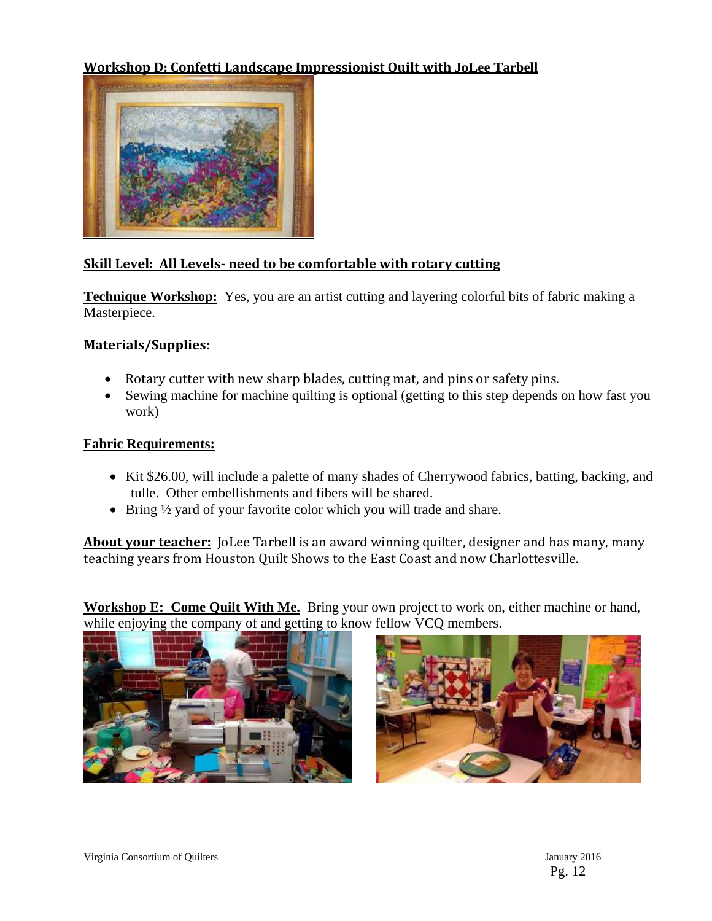# **Workshop D: Confetti Landscape Impressionist Quilt with JoLee Tarbell**



# **Skill Level: All Levels‐ need to be comfortable with rotary cutting**

**Technique Workshop:** Yes, you are an artist cutting and layering colorful bits of fabric making a Masterpiece.

#### **Materials/Supplies:**

- Rotary cutter with new sharp blades, cutting mat, and pins or safety pins.
- Sewing machine for machine quilting is optional (getting to this step depends on how fast you work)

#### **Fabric Requirements:**

- Kit \$26.00, will include a palette of many shades of Cherrywood fabrics, batting, backing, and tulle. Other embellishments and fibers will be shared.
- Bring 1/2 yard of your favorite color which you will trade and share.

**About your teacher:** JoLee Tarbell is an award winning quilter, designer and has many, many teaching years from Houston Quilt Shows to the East Coast and now Charlottesville.

**Workshop E: Come Quilt With Me.** Bring your own project to work on, either machine or hand, while enjoying the company of and getting to know fellow VCQ members.



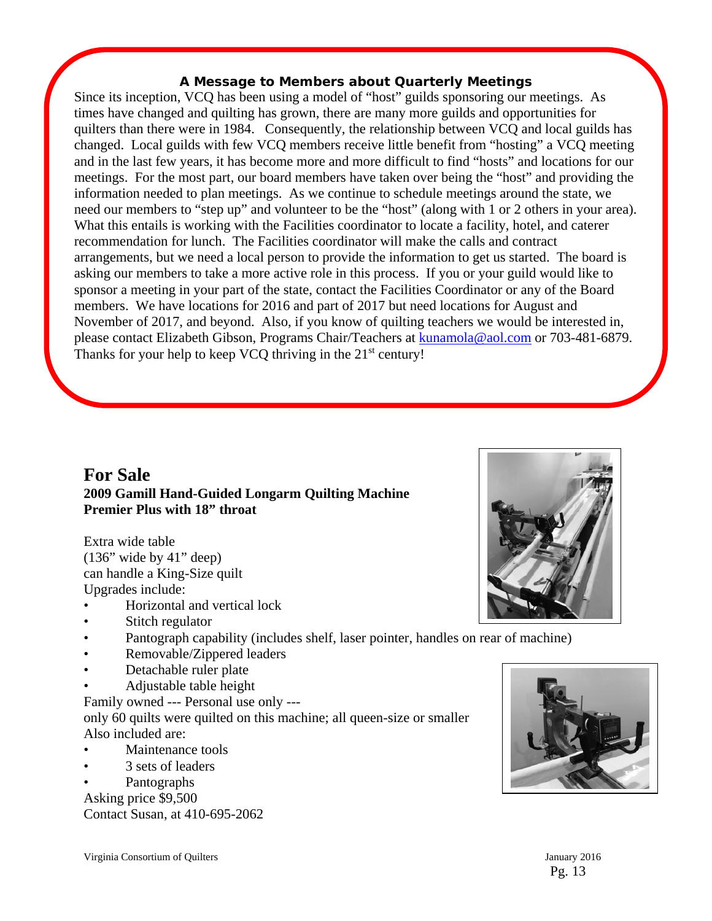#### **A Message to Members about Quarterly Meetings**

Since its inception, VCQ has been using a model of "host" guilds sponsoring our meetings. As times have changed and quilting has grown, there are many more guilds and opportunities for quilters than there were in 1984. Consequently, the relationship between VCQ and local guilds has changed. Local guilds with few VCQ members receive little benefit from "hosting" a VCQ meeting and in the last few years, it has become more and more difficult to find "hosts" and locations for our meetings. For the most part, our board members have taken over being the "host" and providing the information needed to plan meetings. As we continue to schedule meetings around the state, we need our members to "step up" and volunteer to be the "host" (along with 1 or 2 others in your area). What this entails is working with the Facilities coordinator to locate a facility, hotel, and caterer recommendation for lunch. The Facilities coordinator will make the calls and contract arrangements, but we need a local person to provide the information to get us started. The board is asking our members to take a more active role in this process. If you or your guild would like to sponsor a meeting in your part of the state, contact the Facilities Coordinator or any of the Board members. We have locations for 2016 and part of 2017 but need locations for August and November of 2017, and beyond. Also, if you know of quilting teachers we would be interested in, please contact Elizabeth Gibson, Programs Chair/Teachers at **kunamola@aol.com** or 703-481-6879. Thanks for your help to keep VCQ thriving in the  $21<sup>st</sup>$  century!

# **For Sale 2009 Gamill Hand-Guided Longarm Quilting Machine Premier Plus with 18" throat**

Extra wide table (136" wide by 41" deep) can handle a King-Size quilt Upgrades include:

- Horizontal and vertical lock
- Stitch regulator
- Pantograph capability (includes shelf, laser pointer, handles on rear of machine)
- Removable/Zippered leaders
- Detachable ruler plate
- Adjustable table height

Family owned --- Personal use only -- only 60 quilts were quilted on this machine; all queen-size or smaller Also included are:

- Maintenance tools
- 3 sets of leaders
- Pantographs

Asking price \$9,500

Contact Susan, at 410-695-2062





Pg. 13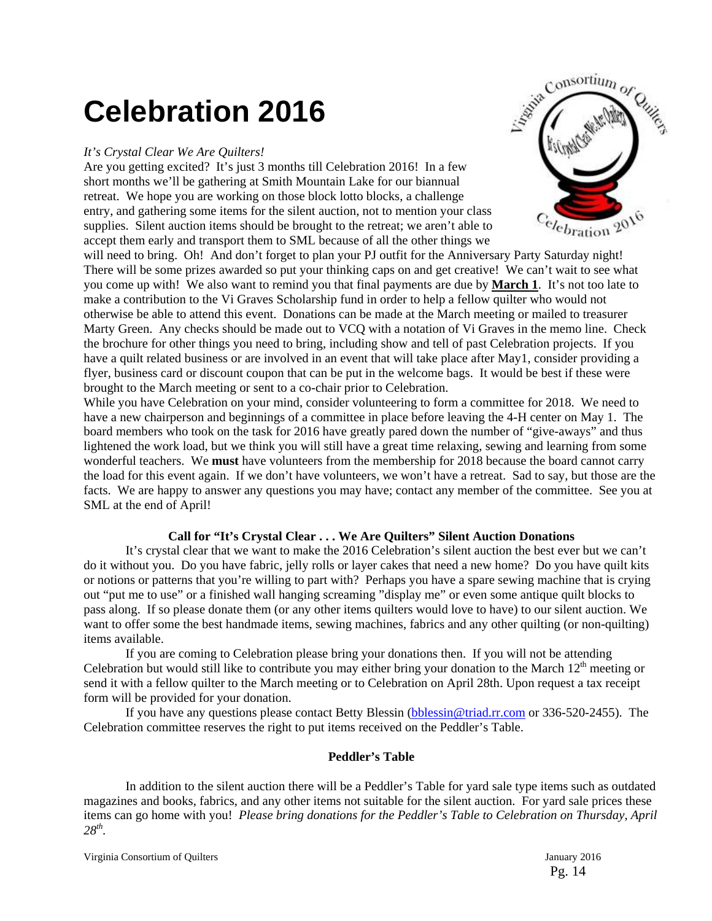# **Celebration 2016**

#### *It's Crystal Clear We Are Quilters!*

Are you getting excited? It's just 3 months till Celebration 2016! In a few short months we'll be gathering at Smith Mountain Lake for our biannual retreat. We hope you are working on those block lotto blocks, a challenge entry, and gathering some items for the silent auction, not to mention your class supplies. Silent auction items should be brought to the retreat; we aren't able to accept them early and transport them to SML because of all the other things we



While you have Celebration on your mind, consider volunteering to form a committee for 2018. We need to have a new chairperson and beginnings of a committee in place before leaving the 4-H center on May 1. The board members who took on the task for 2016 have greatly pared down the number of "give-aways" and thus lightened the work load, but we think you will still have a great time relaxing, sewing and learning from some wonderful teachers. We **must** have volunteers from the membership for 2018 because the board cannot carry the load for this event again. If we don't have volunteers, we won't have a retreat. Sad to say, but those are the facts. We are happy to answer any questions you may have; contact any member of the committee. See you at SML at the end of April!

#### **Call for "It's Crystal Clear . . . We Are Quilters" Silent Auction Donations**

It's crystal clear that we want to make the 2016 Celebration's silent auction the best ever but we can't do it without you. Do you have fabric, jelly rolls or layer cakes that need a new home? Do you have quilt kits or notions or patterns that you're willing to part with? Perhaps you have a spare sewing machine that is crying out "put me to use" or a finished wall hanging screaming "display me" or even some antique quilt blocks to pass along. If so please donate them (or any other items quilters would love to have) to our silent auction. We want to offer some the best handmade items, sewing machines, fabrics and any other quilting (or non-quilting) items available.

If you are coming to Celebration please bring your donations then. If you will not be attending Celebration but would still like to contribute you may either bring your donation to the March  $12<sup>th</sup>$  meeting or send it with a fellow quilter to the March meeting or to Celebration on April 28th. Upon request a tax receipt form will be provided for your donation.

If you have any questions please contact Betty Blessin (bblessin@triad.rr.com or 336-520-2455). The Celebration committee reserves the right to put items received on the Peddler's Table.

#### **Peddler's Table**

In addition to the silent auction there will be a Peddler's Table for yard sale type items such as outdated magazines and books, fabrics, and any other items not suitable for the silent auction. For yard sale prices these items can go home with you! *Please bring donations for the Peddler's Table to Celebration on Thursday, April 28th.* 

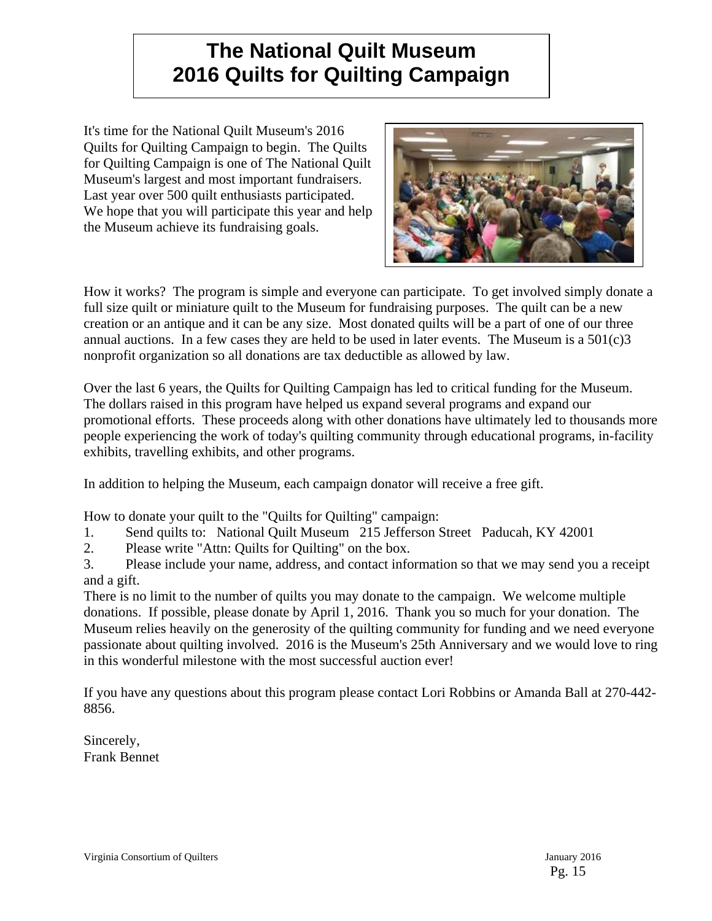# **The National Quilt Museum 2016 Quilts for Quilting Campaign**

It's time for the National Quilt Museum's 2016 Quilts for Quilting Campaign to begin. The Quilts for Quilting Campaign is one of The National Quilt Museum's largest and most important fundraisers. Last year over 500 quilt enthusiasts participated. We hope that you will participate this year and help the Museum achieve its fundraising goals.



How it works? The program is simple and everyone can participate. To get involved simply donate a full size quilt or miniature quilt to the Museum for fundraising purposes. The quilt can be a new creation or an antique and it can be any size. Most donated quilts will be a part of one of our three annual auctions. In a few cases they are held to be used in later events. The Museum is a  $501(c)3$ nonprofit organization so all donations are tax deductible as allowed by law.

Over the last 6 years, the Quilts for Quilting Campaign has led to critical funding for the Museum. The dollars raised in this program have helped us expand several programs and expand our promotional efforts. These proceeds along with other donations have ultimately led to thousands more people experiencing the work of today's quilting community through educational programs, in-facility exhibits, travelling exhibits, and other programs.

In addition to helping the Museum, each campaign donator will receive a free gift.

How to donate your quilt to the "Quilts for Quilting" campaign:

- 1. Send quilts to: National Quilt Museum 215 Jefferson Street Paducah, KY 42001
- 2. Please write "Attn: Quilts for Quilting" on the box.

3. Please include your name, address, and contact information so that we may send you a receipt and a gift.

There is no limit to the number of quilts you may donate to the campaign. We welcome multiple donations. If possible, please donate by April 1, 2016. Thank you so much for your donation. The Museum relies heavily on the generosity of the quilting community for funding and we need everyone passionate about quilting involved. 2016 is the Museum's 25th Anniversary and we would love to ring in this wonderful milestone with the most successful auction ever!

If you have any questions about this program please contact Lori Robbins or Amanda Ball at 270-442- 8856.

Sincerely, Frank Bennet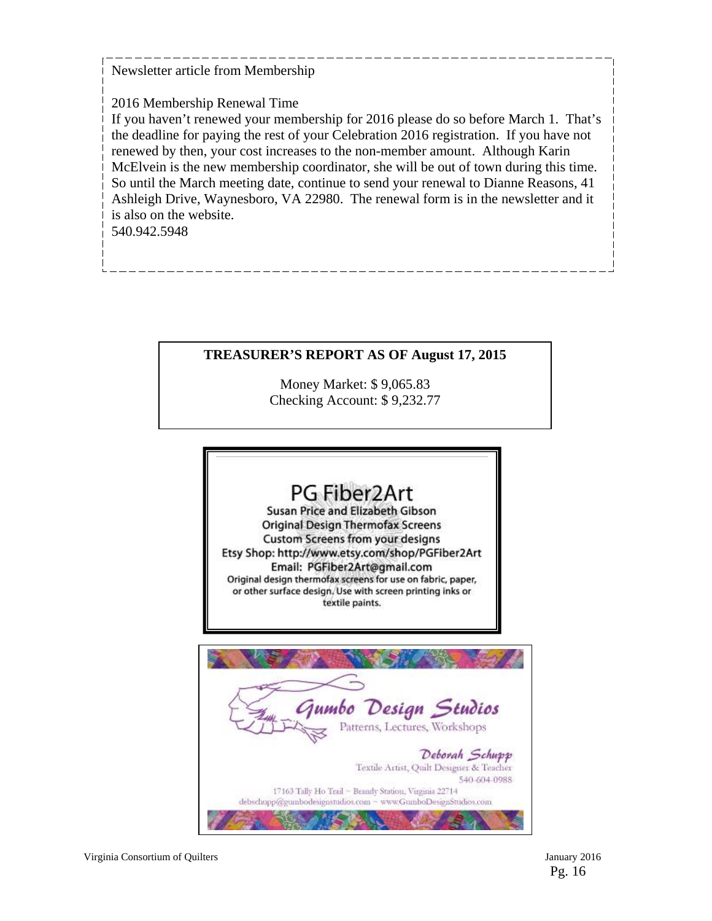Newsletter article from Membership

2016 Membership Renewal Time

If you haven't renewed your membership for 2016 please do so before March 1. That's the deadline for paying the rest of your Celebration 2016 registration. If you have not renewed by then, your cost increases to the non-member amount. Although Karin McElvein is the new membership coordinator, she will be out of town during this time. So until the March meeting date, continue to send your renewal to Dianne Reasons, 41 Ashleigh Drive, Waynesboro, VA 22980. The renewal form is in the newsletter and it is also on the website.

540.942.5948

# **TREASURER'S REPORT AS OF August 17, 2015**

Money Market: \$ 9,065.83 Checking Account: \$ 9,232.77

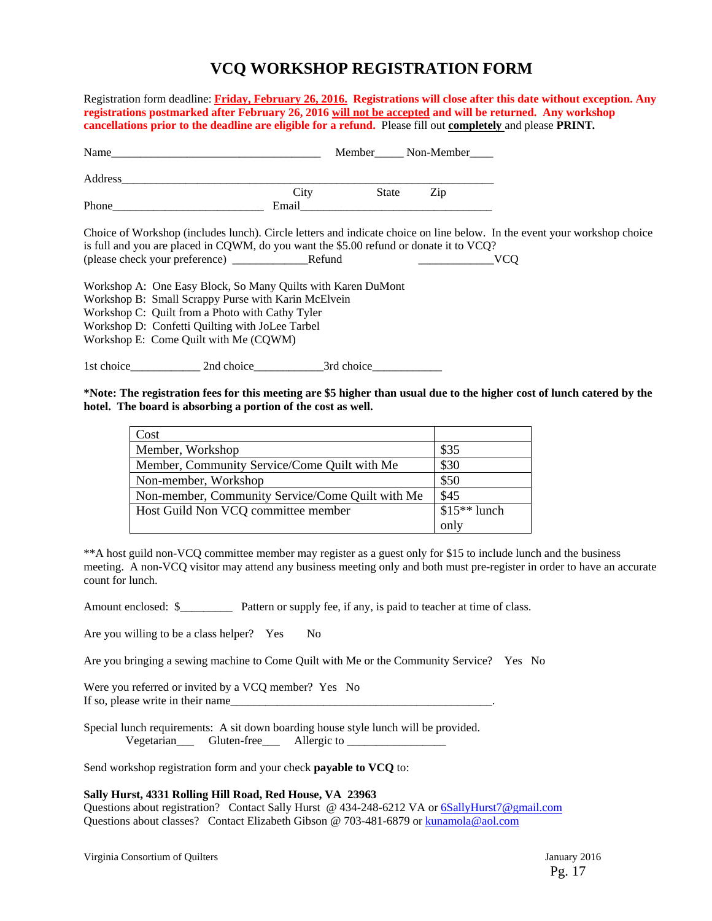# **VCQ WORKSHOP REGISTRATION FORM**

Registration form deadline: **Friday, February 26, 2016.****Registrations will close after this date without exception. Any registrations postmarked after February 26, 2016 will not be accepted and will be returned. Any workshop cancellations prior to the deadline are eligible for a refund.** Please fill out **completely** and please **PRINT***.* 

|                                                                                                                                                                                                                           |       |            | Member Non-Member |                                                                                                                                        |  |
|---------------------------------------------------------------------------------------------------------------------------------------------------------------------------------------------------------------------------|-------|------------|-------------------|----------------------------------------------------------------------------------------------------------------------------------------|--|
| Address                                                                                                                                                                                                                   |       |            |                   |                                                                                                                                        |  |
|                                                                                                                                                                                                                           | City  | State      | Zip               |                                                                                                                                        |  |
|                                                                                                                                                                                                                           | Email |            |                   |                                                                                                                                        |  |
| is full and you are placed in CQWM, do you want the \$5.00 refund or donate it to VCQ?                                                                                                                                    |       |            |                   | Choice of Workshop (includes lunch). Circle letters and indicate choice on line below. In the event your workshop choice<br><b>VCO</b> |  |
| Workshop A: One Easy Block, So Many Quilts with Karen DuMont<br>Workshop B: Small Scrappy Purse with Karin McElvein<br>Workshop C: Quilt from a Photo with Cathy Tyler<br>Workshop D: Confetti Quilting with JoLee Tarbel |       |            |                   |                                                                                                                                        |  |
| Workshop E: Come Quilt with Me (CQWM)                                                                                                                                                                                     |       |            |                   |                                                                                                                                        |  |
|                                                                                                                                                                                                                           |       | 3rd choice |                   |                                                                                                                                        |  |

**\*Note: The registration fees for this meeting are \$5 higher than usual due to the higher cost of lunch catered by the hotel. The board is absorbing a portion of the cost as well.** 

| Cost                                             |               |
|--------------------------------------------------|---------------|
| Member, Workshop                                 | \$35          |
| Member, Community Service/Come Quilt with Me     | \$30          |
| Non-member, Workshop                             | \$50          |
| Non-member, Community Service/Come Quilt with Me | \$45          |
| Host Guild Non VCQ committee member              | $$15**$ lunch |
|                                                  | only          |

\*\*A host guild non-VCQ committee member may register as a guest only for \$15 to include lunch and the business meeting. A non-VCQ visitor may attend any business meeting only and both must pre-register in order to have an accurate count for lunch.

Amount enclosed:  $\frac{1}{2}$  Pattern or supply fee, if any, is paid to teacher at time of class.

Are you willing to be a class helper? Yes No

Are you bringing a sewing machine to Come Quilt with Me or the Community Service? Yes No

Were you referred or invited by a VCO member? Yes No If so, please write in their name

Special lunch requirements: A sit down boarding house style lunch will be provided. Vegetarian\_\_\_ Gluten-free\_\_\_ Allergic to \_\_\_\_\_\_\_\_\_\_\_\_\_\_\_\_\_

Send workshop registration form and your check **payable to VCQ** to:

#### **Sally Hurst, 4331 Rolling Hill Road, Red House, VA 23963**

Questions about registration? Contact Sally Hurst @ 434-248-6212 VA or 6SallyHurst7@gmail.com Questions about classes? Contact Elizabeth Gibson @ 703-481-6879 or kunamola@aol.com